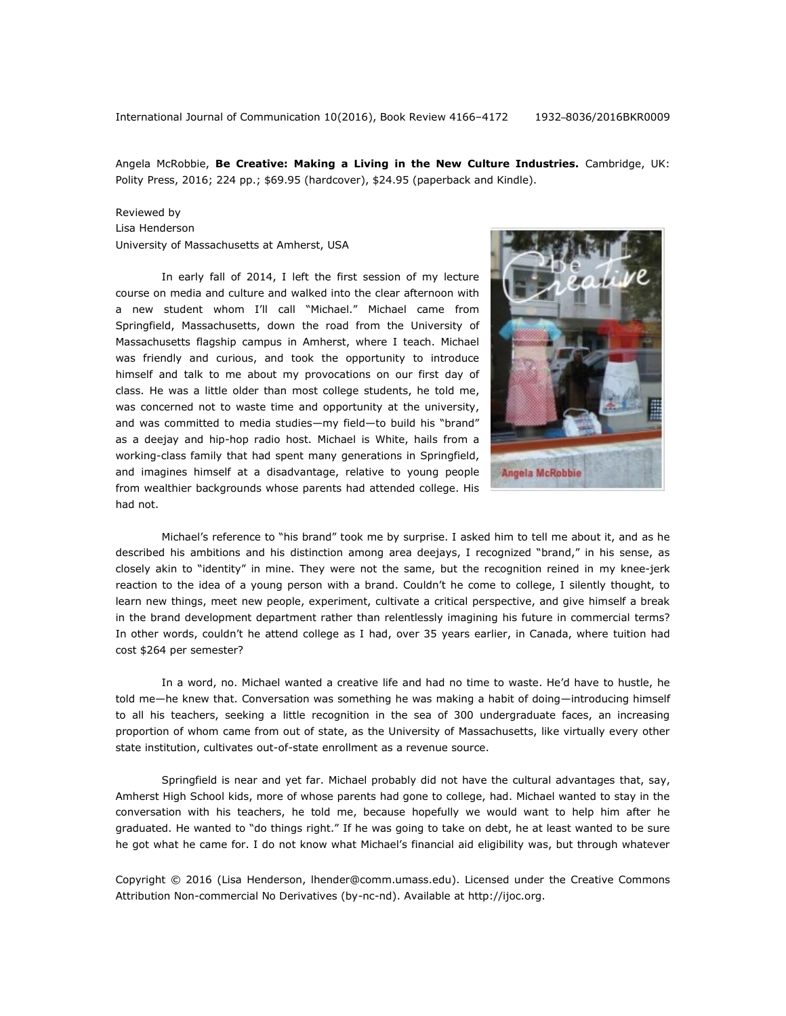International Journal of Communication 10(2016), Book Review 4166–4172 1932–8036/2016BKR0009

Angela McRobbie, **Be Creative: Making a Living in the New Culture Industries.** Cambridge, UK: Polity Press, 2016; 224 pp.; \$69.95 (hardcover), \$24.95 (paperback and Kindle).

## Reviewed by

Lisa Henderson University of Massachusetts at Amherst, USA

In early fall of 2014, I left the first session of my lecture course on media and culture and walked into the clear afternoon with a new student whom I'll call "Michael." Michael came from Springfield, Massachusetts, down the road from the University of Massachusetts flagship campus in Amherst, where I teach. Michael was friendly and curious, and took the opportunity to introduce himself and talk to me about my provocations on our first day of class. He was a little older than most college students, he told me, was concerned not to waste time and opportunity at the university, and was committed to media studies—my field—to build his "brand" as a deejay and hip-hop radio host. Michael is White, hails from a working-class family that had spent many generations in Springfield, and imagines himself at a disadvantage, relative to young people from wealthier backgrounds whose parents had attended college. His had not.



Michael's reference to "his brand" took me by surprise. I asked him to tell me about it, and as he described his ambitions and his distinction among area deejays, I recognized "brand," in his sense, as closely akin to "identity" in mine. They were not the same, but the recognition reined in my knee-jerk reaction to the idea of a young person with a brand. Couldn't he come to college, I silently thought, to learn new things, meet new people, experiment, cultivate a critical perspective, and give himself a break in the brand development department rather than relentlessly imagining his future in commercial terms? In other words, couldn't he attend college as I had, over 35 years earlier, in Canada, where tuition had cost \$264 per semester?

In a word, no. Michael wanted a creative life and had no time to waste. He'd have to hustle, he told me—he knew that. Conversation was something he was making a habit of doing—introducing himself to all his teachers, seeking a little recognition in the sea of 300 undergraduate faces, an increasing proportion of whom came from out of state, as the University of Massachusetts, like virtually every other state institution, cultivates out-of-state enrollment as a revenue source.

Springfield is near and yet far. Michael probably did not have the cultural advantages that, say, Amherst High School kids, more of whose parents had gone to college, had. Michael wanted to stay in the conversation with his teachers, he told me, because hopefully we would want to help him after he graduated. He wanted to "do things right." If he was going to take on debt, he at least wanted to be sure he got what he came for. I do not know what Michael's financial aid eligibility was, but through whatever

Copyright © 2016 (Lisa Henderson, lhender@comm.umass.edu). Licensed under the Creative Commons Attribution Non-commercial No Derivatives (by-nc-nd). Available at [http://ijoc.org.](http://ijoc.org/)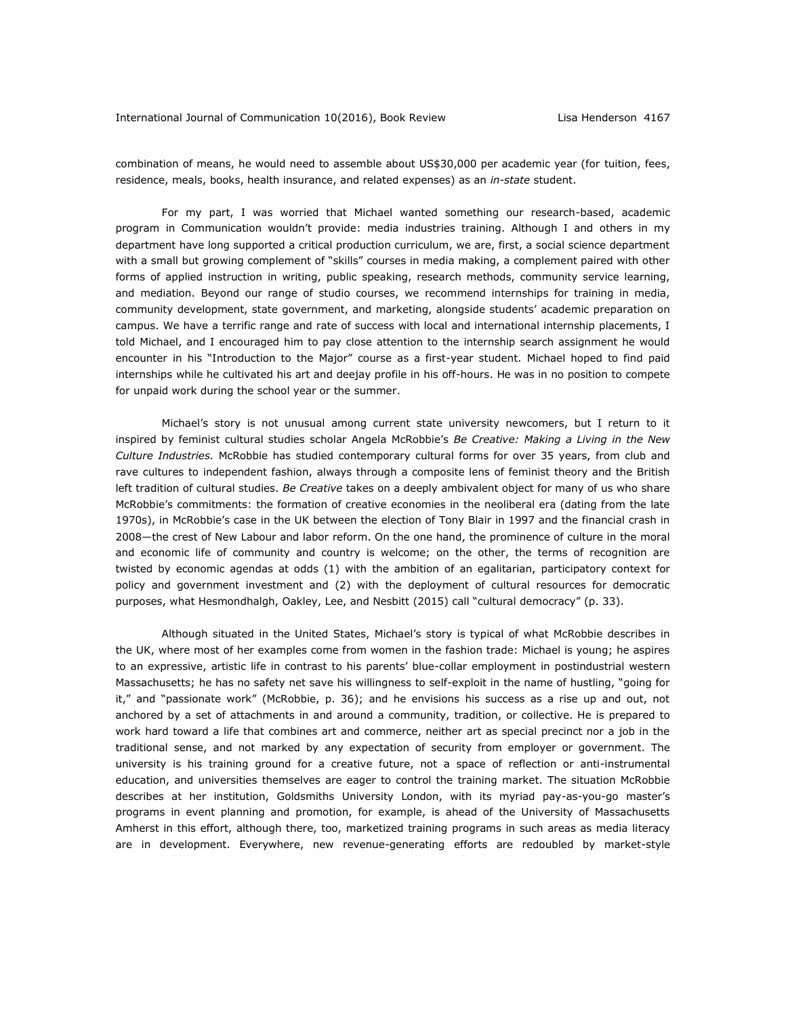combination of means, he would need to assemble about US\$30,000 per academic year (for tuition, fees, residence, meals, books, health insurance, and related expenses) as an *in-state* student.

For my part, I was worried that Michael wanted something our research-based, academic program in Communication wouldn't provide: media industries training. Although I and others in my department have long supported a critical production curriculum, we are, first, a social science department with a small but growing complement of "skills" courses in media making, a complement paired with other forms of applied instruction in writing, public speaking, research methods, community service learning, and mediation. Beyond our range of studio courses, we recommend internships for training in media, community development, state government, and marketing, alongside students' academic preparation on campus. We have a terrific range and rate of success with local and international internship placements, I told Michael, and I encouraged him to pay close attention to the internship search assignment he would encounter in his "Introduction to the Major" course as a first-year student. Michael hoped to find paid internships while he cultivated his art and deejay profile in his off-hours. He was in no position to compete for unpaid work during the school year or the summer.

Michael's story is not unusual among current state university newcomers, but I return to it inspired by feminist cultural studies scholar Angela McRobbie's *Be Creative: Making a Living in the New Culture Industries.* McRobbie has studied contemporary cultural forms for over 35 years, from club and rave cultures to independent fashion, always through a composite lens of feminist theory and the British left tradition of cultural studies. *Be Creative* takes on a deeply ambivalent object for many of us who share McRobbie's commitments: the formation of creative economies in the neoliberal era (dating from the late 1970s), in McRobbie's case in the UK between the election of Tony Blair in 1997 and the financial crash in 2008—the crest of New Labour and labor reform. On the one hand, the prominence of culture in the moral and economic life of community and country is welcome; on the other, the terms of recognition are twisted by economic agendas at odds (1) with the ambition of an egalitarian, participatory context for policy and government investment and (2) with the deployment of cultural resources for democratic purposes, what Hesmondhalgh, Oakley, Lee, and Nesbitt (2015) call "cultural democracy" (p. 33).

Although situated in the United States, Michael's story is typical of what McRobbie describes in the UK, where most of her examples come from women in the fashion trade: Michael is young; he aspires to an expressive, artistic life in contrast to his parents' blue-collar employment in postindustrial western Massachusetts; he has no safety net save his willingness to self-exploit in the name of hustling, "going for it," and "passionate work" (McRobbie, p. 36); and he envisions his success as a rise up and out, not anchored by a set of attachments in and around a community, tradition, or collective. He is prepared to work hard toward a life that combines art and commerce, neither art as special precinct nor a job in the traditional sense, and not marked by any expectation of security from employer or government. The university is his training ground for a creative future, not a space of reflection or anti-instrumental education, and universities themselves are eager to control the training market. The situation McRobbie describes at her institution, Goldsmiths University London, with its myriad pay-as-you-go master's programs in event planning and promotion, for example, is ahead of the University of Massachusetts Amherst in this effort, although there, too, marketized training programs in such areas as media literacy are in development. Everywhere, new revenue-generating efforts are redoubled by market-style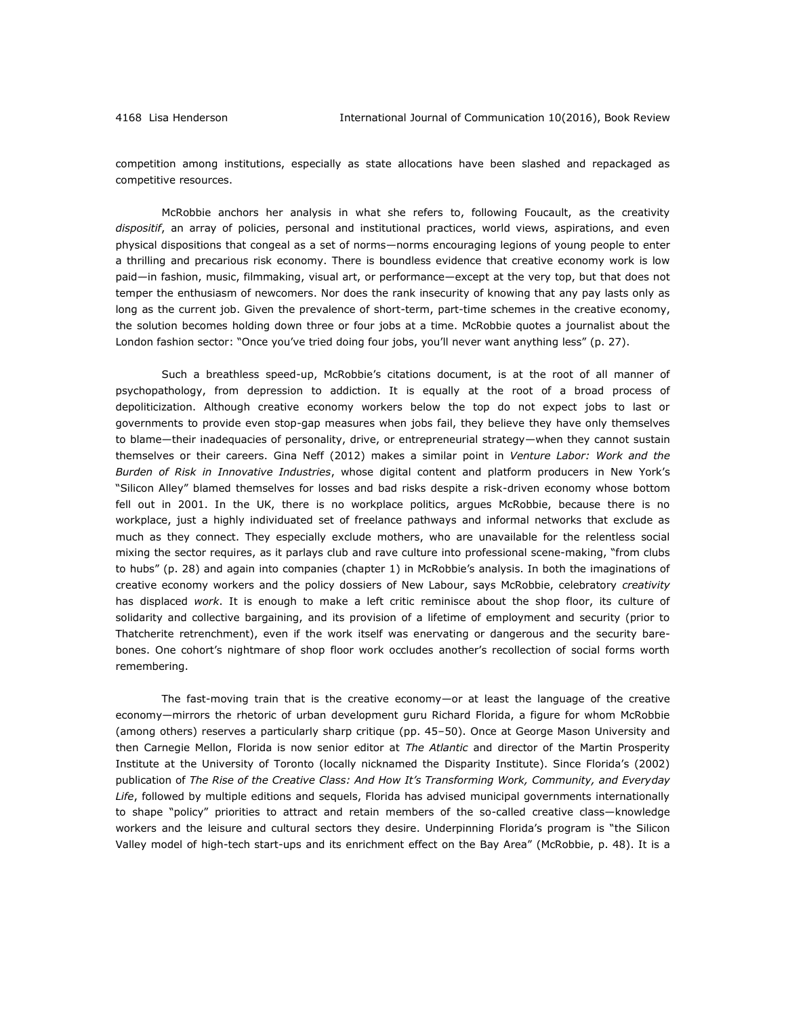competition among institutions, especially as state allocations have been slashed and repackaged as competitive resources.

McRobbie anchors her analysis in what she refers to, following Foucault, as the creativity *dispositif*, an array of policies, personal and institutional practices, world views, aspirations, and even physical dispositions that congeal as a set of norms—norms encouraging legions of young people to enter a thrilling and precarious risk economy. There is boundless evidence that creative economy work is low paid—in fashion, music, filmmaking, visual art, or performance—except at the very top, but that does not temper the enthusiasm of newcomers. Nor does the rank insecurity of knowing that any pay lasts only as long as the current job. Given the prevalence of short-term, part-time schemes in the creative economy, the solution becomes holding down three or four jobs at a time. McRobbie quotes a journalist about the London fashion sector: "Once you've tried doing four jobs, you'll never want anything less" (p. 27).

Such a breathless speed-up, McRobbie's citations document, is at the root of all manner of psychopathology, from depression to addiction. It is equally at the root of a broad process of depoliticization. Although creative economy workers below the top do not expect jobs to last or governments to provide even stop-gap measures when jobs fail, they believe they have only themselves to blame—their inadequacies of personality, drive, or entrepreneurial strategy—when they cannot sustain themselves or their careers. Gina Neff (2012) makes a similar point in *Venture Labor: Work and the Burden of Risk in Innovative Industries*, whose digital content and platform producers in New York's "Silicon Alley" blamed themselves for losses and bad risks despite a risk-driven economy whose bottom fell out in 2001. In the UK, there is no workplace politics, argues McRobbie, because there is no workplace, just a highly individuated set of freelance pathways and informal networks that exclude as much as they connect. They especially exclude mothers, who are unavailable for the relentless social mixing the sector requires, as it parlays club and rave culture into professional scene-making, "from clubs to hubs" (p. 28) and again into companies (chapter 1) in McRobbie's analysis. In both the imaginations of creative economy workers and the policy dossiers of New Labour, says McRobbie, celebratory *creativity* has displaced *work*. It is enough to make a left critic reminisce about the shop floor, its culture of solidarity and collective bargaining, and its provision of a lifetime of employment and security (prior to Thatcherite retrenchment), even if the work itself was enervating or dangerous and the security barebones. One cohort's nightmare of shop floor work occludes another's recollection of social forms worth remembering.

The fast-moving train that is the creative economy—or at least the language of the creative economy—mirrors the rhetoric of urban development guru Richard Florida, a figure for whom McRobbie (among others) reserves a particularly sharp critique (pp. 45–50). Once at George Mason University and then Carnegie Mellon, Florida is now senior editor at *The Atlantic* and director of the Martin Prosperity Institute at the University of Toronto (locally nicknamed the Disparity Institute). Since Florida's (2002) publication of *The Rise of the Creative Class: And How It's Transforming Work, Community, and Everyday Life*, followed by multiple editions and sequels, Florida has advised municipal governments internationally to shape "policy" priorities to attract and retain members of the so-called creative class—knowledge workers and the leisure and cultural sectors they desire. Underpinning Florida's program is "the Silicon Valley model of high-tech start-ups and its enrichment effect on the Bay Area" (McRobbie, p. 48). It is a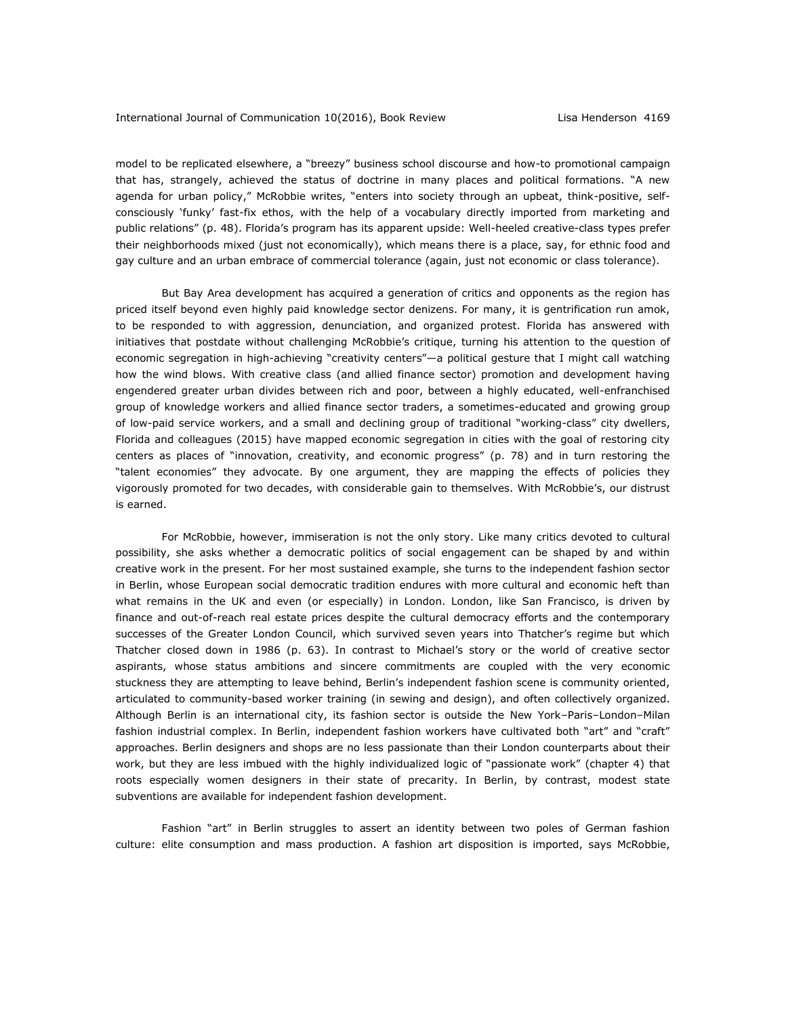model to be replicated elsewhere, a "breezy" business school discourse and how-to promotional campaign that has, strangely, achieved the status of doctrine in many places and political formations. "A new agenda for urban policy," McRobbie writes, "enters into society through an upbeat, think-positive, selfconsciously 'funky' fast-fix ethos, with the help of a vocabulary directly imported from marketing and public relations" (p. 48). Florida's program has its apparent upside: Well-heeled creative-class types prefer their neighborhoods mixed (just not economically), which means there is a place, say, for ethnic food and gay culture and an urban embrace of commercial tolerance (again, just not economic or class tolerance).

But Bay Area development has acquired a generation of critics and opponents as the region has priced itself beyond even highly paid knowledge sector denizens. For many, it is gentrification run amok, to be responded to with aggression, denunciation, and organized protest. Florida has answered with initiatives that postdate without challenging McRobbie's critique, turning his attention to the question of economic segregation in high-achieving "creativity centers"—a political gesture that I might call watching how the wind blows. With creative class (and allied finance sector) promotion and development having engendered greater urban divides between rich and poor, between a highly educated, well-enfranchised group of knowledge workers and allied finance sector traders, a sometimes-educated and growing group of low-paid service workers, and a small and declining group of traditional "working-class" city dwellers, Florida and colleagues (2015) have mapped economic segregation in cities with the goal of restoring city centers as places of "innovation, creativity, and economic progress" (p. 78) and in turn restoring the "talent economies" they advocate. By one argument, they are mapping the effects of policies they vigorously promoted for two decades, with considerable gain to themselves. With McRobbie's, our distrust is earned.

For McRobbie, however, immiseration is not the only story. Like many critics devoted to cultural possibility, she asks whether a democratic politics of social engagement can be shaped by and within creative work in the present. For her most sustained example, she turns to the independent fashion sector in Berlin, whose European social democratic tradition endures with more cultural and economic heft than what remains in the UK and even (or especially) in London. London, like San Francisco, is driven by finance and out-of-reach real estate prices despite the cultural democracy efforts and the contemporary successes of the Greater London Council, which survived seven years into Thatcher's regime but which Thatcher closed down in 1986 (p. 63). In contrast to Michael's story or the world of creative sector aspirants, whose status ambitions and sincere commitments are coupled with the very economic stuckness they are attempting to leave behind, Berlin's independent fashion scene is community oriented, articulated to community-based worker training (in sewing and design), and often collectively organized. Although Berlin is an international city, its fashion sector is outside the New York–Paris–London–Milan fashion industrial complex. In Berlin, independent fashion workers have cultivated both "art" and "craft" approaches. Berlin designers and shops are no less passionate than their London counterparts about their work, but they are less imbued with the highly individualized logic of "passionate work" (chapter 4) that roots especially women designers in their state of precarity. In Berlin, by contrast, modest state subventions are available for independent fashion development.

Fashion "art" in Berlin struggles to assert an identity between two poles of German fashion culture: elite consumption and mass production. A fashion art disposition is imported, says McRobbie,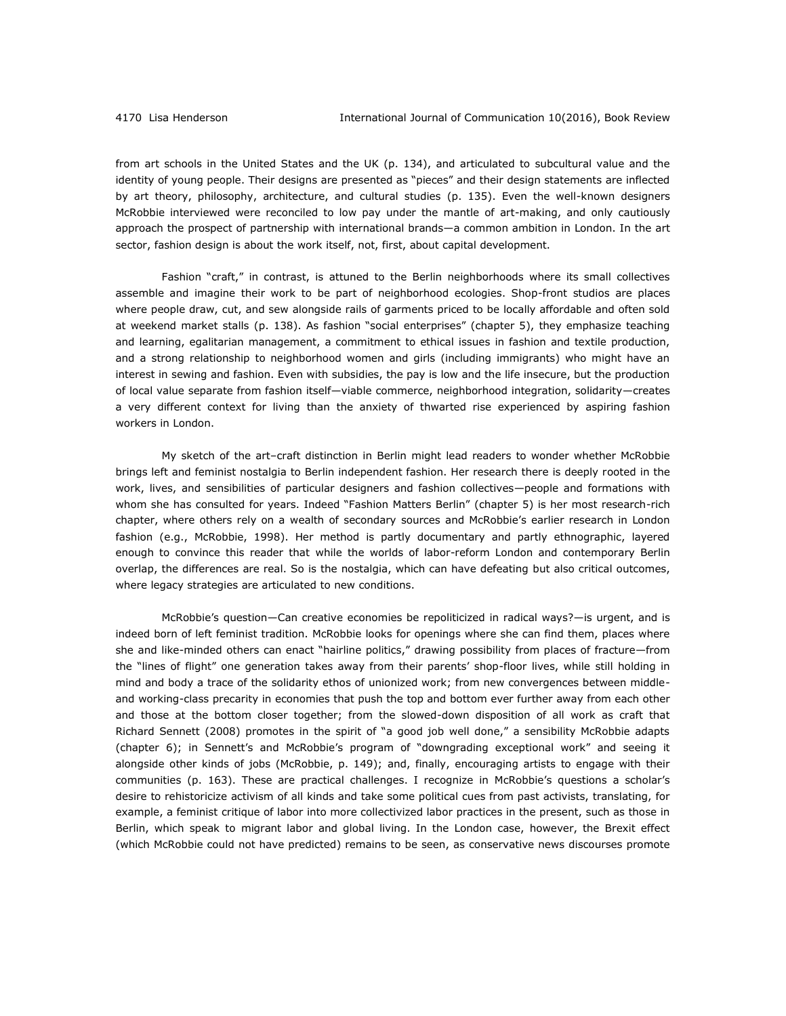from art schools in the United States and the UK (p. 134), and articulated to subcultural value and the identity of young people. Their designs are presented as "pieces" and their design statements are inflected by art theory, philosophy, architecture, and cultural studies (p. 135). Even the well-known designers McRobbie interviewed were reconciled to low pay under the mantle of art-making, and only cautiously approach the prospect of partnership with international brands—a common ambition in London. In the art sector, fashion design is about the work itself, not, first, about capital development.

Fashion "craft," in contrast, is attuned to the Berlin neighborhoods where its small collectives assemble and imagine their work to be part of neighborhood ecologies. Shop-front studios are places where people draw, cut, and sew alongside rails of garments priced to be locally affordable and often sold at weekend market stalls (p. 138). As fashion "social enterprises" (chapter 5), they emphasize teaching and learning, egalitarian management, a commitment to ethical issues in fashion and textile production, and a strong relationship to neighborhood women and girls (including immigrants) who might have an interest in sewing and fashion. Even with subsidies, the pay is low and the life insecure, but the production of local value separate from fashion itself—viable commerce, neighborhood integration, solidarity—creates a very different context for living than the anxiety of thwarted rise experienced by aspiring fashion workers in London.

My sketch of the art–craft distinction in Berlin might lead readers to wonder whether McRobbie brings left and feminist nostalgia to Berlin independent fashion. Her research there is deeply rooted in the work, lives, and sensibilities of particular designers and fashion collectives—people and formations with whom she has consulted for years. Indeed "Fashion Matters Berlin" (chapter 5) is her most research-rich chapter, where others rely on a wealth of secondary sources and McRobbie's earlier research in London fashion (e.g., McRobbie, 1998). Her method is partly documentary and partly ethnographic, layered enough to convince this reader that while the worlds of labor-reform London and contemporary Berlin overlap, the differences are real. So is the nostalgia, which can have defeating but also critical outcomes, where legacy strategies are articulated to new conditions.

McRobbie's question—Can creative economies be repoliticized in radical ways?—is urgent, and is indeed born of left feminist tradition. McRobbie looks for openings where she can find them, places where she and like-minded others can enact "hairline politics," drawing possibility from places of fracture—from the "lines of flight" one generation takes away from their parents' shop-floor lives, while still holding in mind and body a trace of the solidarity ethos of unionized work; from new convergences between middleand working-class precarity in economies that push the top and bottom ever further away from each other and those at the bottom closer together; from the slowed-down disposition of all work as craft that Richard Sennett (2008) promotes in the spirit of "a good job well done," a sensibility McRobbie adapts (chapter 6); in Sennett's and McRobbie's program of "downgrading exceptional work" and seeing it alongside other kinds of jobs (McRobbie, p. 149); and, finally, encouraging artists to engage with their communities (p. 163). These are practical challenges. I recognize in McRobbie's questions a scholar's desire to rehistoricize activism of all kinds and take some political cues from past activists, translating, for example, a feminist critique of labor into more collectivized labor practices in the present, such as those in Berlin, which speak to migrant labor and global living. In the London case, however, the Brexit effect (which McRobbie could not have predicted) remains to be seen, as conservative news discourses promote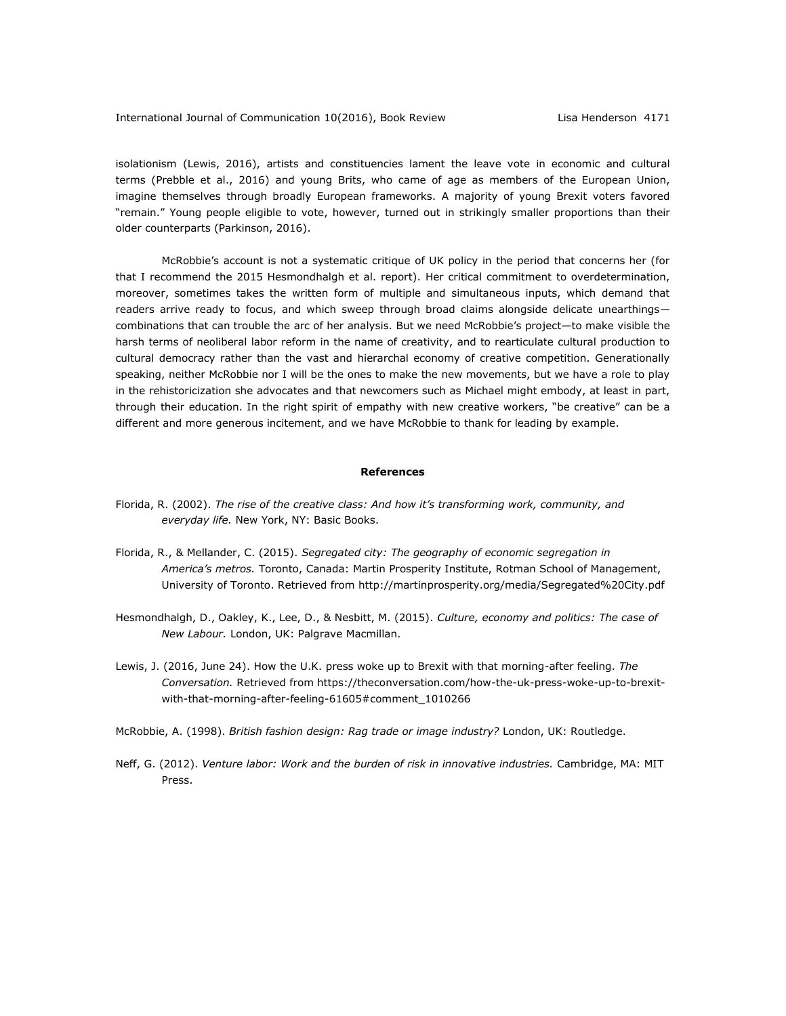isolationism (Lewis, 2016), artists and constituencies lament the leave vote in economic and cultural terms (Prebble et al., 2016) and young Brits, who came of age as members of the European Union, imagine themselves through broadly European frameworks. A majority of young Brexit voters favored "remain." Young people eligible to vote, however, turned out in strikingly smaller proportions than their older counterparts (Parkinson, 2016).

McRobbie's account is not a systematic critique of UK policy in the period that concerns her (for that I recommend the 2015 Hesmondhalgh et al. report). Her critical commitment to overdetermination, moreover, sometimes takes the written form of multiple and simultaneous inputs, which demand that readers arrive ready to focus, and which sweep through broad claims alongside delicate unearthingscombinations that can trouble the arc of her analysis. But we need McRobbie's project—to make visible the harsh terms of neoliberal labor reform in the name of creativity, and to rearticulate cultural production to cultural democracy rather than the vast and hierarchal economy of creative competition. Generationally speaking, neither McRobbie nor I will be the ones to make the new movements, but we have a role to play in the rehistoricization she advocates and that newcomers such as Michael might embody, at least in part, through their education. In the right spirit of empathy with new creative workers, "be creative" can be a different and more generous incitement, and we have McRobbie to thank for leading by example.

## **References**

- Florida, R. (2002). *The rise of the creative class: And how it's transforming work, community, and everyday life.* New York, NY: Basic Books.
- Florida, R., & Mellander, C. (2015). *Segregated city: The geography of economic segregation in America's metros.* Toronto, Canada: Martin Prosperity Institute, Rotman School of Management, University of Toronto. Retrieved from http://martinprosperity.org/media/Segregated%20City.pdf
- Hesmondhalgh, D., Oakley, K., Lee, D., & Nesbitt, M. (2015). *Culture, economy and politics: The case of New Labour.* London, UK: Palgrave Macmillan.
- Lewis, J. (2016, June 24). How the U.K. press woke up to Brexit with that morning-after feeling. *The Conversation.* Retrieved from https://theconversation.com/how-the-uk-press-woke-up-to-brexitwith-that-morning-after-feeling-61605#comment\_1010266
- McRobbie, A. (1998). *British fashion design: Rag trade or image industry?* London, UK: Routledge.
- Neff, G. (2012). *Venture labor: Work and the burden of risk in innovative industries.* Cambridge, MA: MIT Press.